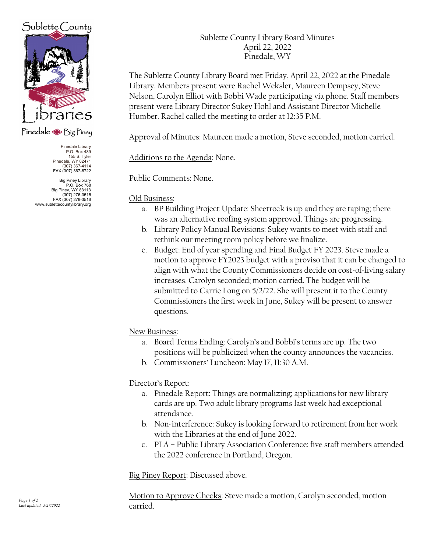# Sublette County



## Pinedale Sig Piney

Pinedale Library P.O. Box 489 155 S. Tyler Pinedale, WY 82471 (307) 367-4114 FAX (307) 367-6722

Big Piney Library<br>P.O. Box 768 P.O. Box 768 Big Piney, WY 83113 (307) 276-3515 FAX (307) 276-3516 www.sublettecountylibrary.org Sublette County Library Board Minutes April 22, 2022 Pinedale, WY

The Sublette County Library Board met Friday, April 22, 2022 at the Pinedale Library. Members present were Rachel Weksler, Maureen Dempsey, Steve Nelson, Carolyn Elliot with Bobbi Wade participating via phone. Staff members present were Library Director Sukey Hohl and Assistant Director Michelle Humber. Rachel called the meeting to order at 12:35 P.M.

Approval of Minutes: Maureen made a motion, Steve seconded, motion carried.

Additions to the Agenda: None.

Public Comments: None.

#### Old Business:

- a. BP Building Project Update: Sheetrock is up and they are taping; there was an alternative roofing system approved. Things are progressing.
- b. Library Policy Manual Revisions: Sukey wants to meet with staff and rethink our meeting room policy before we finalize.
- c. Budget: End of year spending and Final Budget FY 2023. Steve made a motion to approve FY2023 budget with a proviso that it can be changed to align with what the County Commissioners decide on cost-of-living salary increases. Carolyn seconded; motion carried. The budget will be submitted to Carrie Long on 5/2/22. She will present it to the County Commissioners the first week in June, Sukey will be present to answer questions.

## New Business:

- a. Board Terms Ending: Carolyn's and Bobbi's terms are up. The two positions will be publicized when the county announces the vacancies.
- b. Commissioners' Luncheon: May 17, 11:30 A.M.

## Director's Report:

- a. Pinedale Report: Things are normalizing; applications for new library cards are up. Two adult library programs last week had exceptional attendance.
- b. Non-interference: Sukey is looking forward to retirement from her work with the Libraries at the end of June 2022.
- c. PLA Public Library Association Conference: five staff members attended the 2022 conference in Portland, Oregon.

Big Piney Report: Discussed above.

Motion to Approve Checks: Steve made a motion, Carolyn seconded, motion carried.